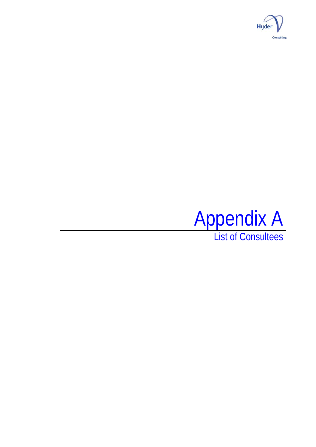

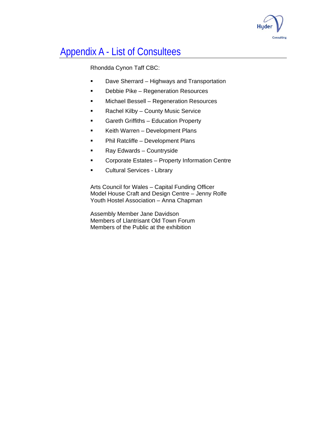

# Appendix A - List of Consultees

Rhondda Cynon Taff CBC:

- **Dave Sherrard Highways and Transportation**
- **Debbie Pike Regeneration Resources**
- **Kable 1** Michael Bessell Regeneration Resources
- **Rachel Kilby County Music Service**
- Gareth Griffiths Education Property
- **Keith Warren Development Plans**
- **•** Phil Ratcliffe Development Plans
- **Ray Edwards Countryside**
- **EXECORDITE:** Corporate Estates Property Information Centre
- **-** Cultural Services Library

Arts Council for Wales – Capital Funding Officer Model House Craft and Design Centre – Jenny Rolfe Youth Hostel Association – Anna Chapman

Assembly Member Jane Davidson Members of Llantrisant Old Town Forum Members of the Public at the exhibition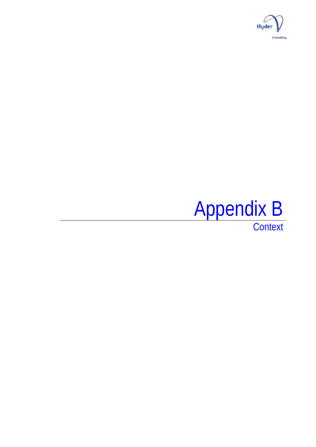

# Appendix B

**Context**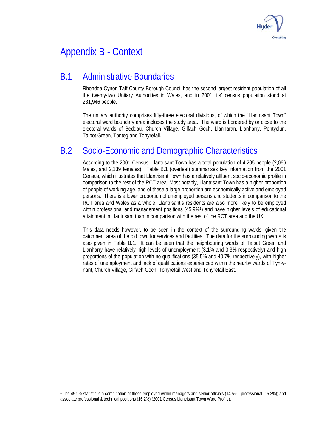

 $\overline{a}$ 

# B.1 Administrative Boundaries

Rhondda Cynon Taff County Borough Council has the second largest resident population of all the twenty-two Unitary Authorities in Wales, and in 2001, its' census population stood at 231,946 people.

The unitary authority comprises fifty-three electoral divisions, of which the "Llantrisant Town" electoral ward boundary area includes the study area. The ward is bordered by or close to the electoral wards of Beddau, Church Village, Gilfach Goch, Llanharan, Llanharry, Pontyclun, Talbot Green, Tonteg and Tonyrefail.

# B.2 Socio-Economic and Demographic Characteristics

According to the 2001 Census, Llantrisant Town has a total population of 4,205 people (2,066 Males, and 2,139 females). Table B.1 (overleaf) summarises key information from the 2001 Census, which illustrates that Llantrisant Town has a relatively affluent socio-economic profile in comparison to the rest of the RCT area. Most notably, Llantrisant Town has a higher proportion of people of working age, and of these a large proportion are economically active and employed persons. There is a lower proportion of unemployed persons and students in comparison to the RCT area and Wales as a whole. Llantrisant's residents are also more likely to be employed within professional and management positions (45.9[%1\)](#page-3-0) and have higher levels of educational attainment in Llantrisant than in comparison with the rest of the RCT area and the UK.

This data needs however, to be seen in the context of the surrounding wards, given the catchment area of the old town for services and facilities. The data for the surrounding wards is also given in Table B.1. It can be seen that the neighbouring wards of Talbot Green and Llanharry have relatively high levels of unemployment (3.1% and 3.3% respectively) and high proportions of the population with no qualifications (35.5% and 40.7% respectively), with higher rates of unemployment and lack of qualifications experienced within the nearby wards of Tyn-ynant, Church Village, Gilfach Goch, Tonyrefail West and Tonyrefail East.

<span id="page-3-0"></span><sup>1</sup> The 45.9% statistic is a combination of those employed within managers and senior officials (14.5%); professional (15.2%); and associate professional & technical positions (16.2%) (2001 Census Llantrisant Town Ward Profile).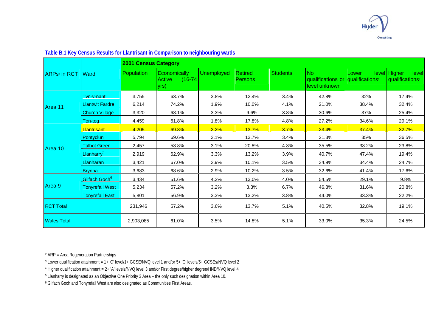<span id="page-4-4"></span><span id="page-4-3"></span><span id="page-4-0"></span>

|                                 |                           | <b>2001 Census Category</b> |                                             |                   |                           |                 |                                                                       |       |                                                      |  |
|---------------------------------|---------------------------|-----------------------------|---------------------------------------------|-------------------|---------------------------|-----------------|-----------------------------------------------------------------------|-------|------------------------------------------------------|--|
| ARPs <sup>2</sup> in RCT   Ward |                           | <b>Population</b>           | Economically<br>$(16-74)$<br>Active<br>yrs) | <b>Unemployed</b> | <b>Retired</b><br>Persons | <b>Students</b> | No.<br>qualifications or qualifications <sup>3</sup><br>level unknown | Lower | level Higher<br>level<br>qualifications <sup>4</sup> |  |
| Area 11                         | Tyn-y-nant                | 3.755                       | 63.7%                                       | 3.8%              | 12.4%                     | 3.4%            | 42.8%                                                                 | 32%   | 17.4%                                                |  |
|                                 | <b>Llantwit Fardre</b>    | 6,214                       | 74.2%                                       | 1.9%              | 10.0%                     | 4.1%            | 21.0%                                                                 | 38.4% | 32.4%                                                |  |
|                                 | <b>Church Village</b>     | 3,320                       | 68.1%                                       | 3.3%              | 9.6%                      | 3.8%            | 30.6%                                                                 | 37%   | 25.4%                                                |  |
|                                 | Ton-teg                   | 4,459                       | 61.8%                                       | 1.8%              | 17.8%                     | 4.8%            | 27.2%                                                                 | 34.6% | 29.1%                                                |  |
| Area 10                         | Llantrisant               | 4.205                       | 69.8%                                       | 2.2%              | 13.7%                     | 3.7%            | 23.4%                                                                 | 37.4% | 32.7%                                                |  |
|                                 | Pontyclun                 | 5,794                       | 69.6%                                       | 2.1%              | 13.7%                     | 3.4%            | 21.3%                                                                 | 35%   | 36.5%                                                |  |
|                                 | <b>Talbot Green</b>       | 2,457                       | 53.8%                                       | 3.1%              | 20.8%                     | 4.3%            | 35.5%                                                                 | 33.2% | 23.8%                                                |  |
|                                 | Llanharry <sup>5</sup>    | 2,919                       | 62.9%                                       | 3.3%              | 13.2%                     | 3.9%            | 40.7%                                                                 | 47.4% | 19.4%                                                |  |
|                                 | Llanharan                 | 3,421                       | 67.0%                                       | 2.9%              | 10.1%                     | 3.5%            | 34.9%                                                                 | 34.4% | 24.7%                                                |  |
|                                 | <b>Brynna</b>             | 3,683                       | 68.6%                                       | 2.9%              | 10.2%                     | 3.5%            | 32.6%                                                                 | 41.4% | 17.6%                                                |  |
| Area 9                          | Gilfach Goch <sup>6</sup> | 3.434                       | 51.6%                                       | 4.2%              | 13.0%                     | 4.0%            | 54.5%                                                                 | 29.1% | 9.8%                                                 |  |
|                                 | <b>Tonyrefail West</b>    | 5,234                       | 57.2%                                       | 3.2%              | 3.3%                      | 6.7%            | 46.8%                                                                 | 31.6% | 20.8%                                                |  |
|                                 | <b>Tonyrefail East</b>    | 5,801                       | 56.9%                                       | 3.3%              | 13.2%                     | 3.8%            | 44.0%                                                                 | 33.3% | 22.2%                                                |  |
| <b>RCT Total</b>                |                           | 231,946                     | 57.2%                                       | 3.6%              | 13.7%                     | 5.1%            | 40.5%                                                                 | 32.8% | 19.1%                                                |  |
| <b>Wales Total</b>              |                           | 2,903,085                   | 61.0%                                       | 3.5%              | 14.8%                     | 5.1%            | 33.0%                                                                 | 35.3% | 24.5%                                                |  |

#### **Table B.1 Key Census Results for Llantrisant in Comparison to neighbouring wards**

<span id="page-4-2"></span><span id="page-4-1"></span>2 ARP = Area Regeneration Partnerships

<sup>3</sup> Lower qualification attainment = 1+ 'O' level/1+ GCSE/NVQ level 1 and/or 5+ 'O' levels/5+ GCSEs/NVQ level 2

<sup>4</sup> Higher qualification attainment = 2+ 'A' levels/NVQ level 3 and/or First degree/higher degree/HND/NVQ level 4

<sup>5</sup> Llanharry is designated as an Objective One Priority 3 Area – the only such designation within Area 10.

<sup>6</sup> Gilfach Goch and Tonyrefail West are also designated as Communities First Areas.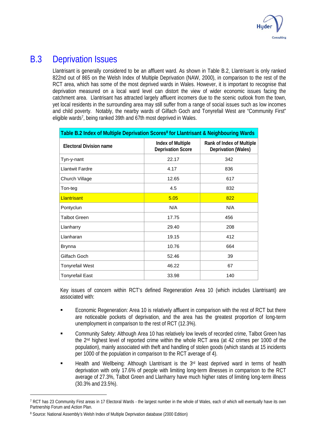

# B.3 Deprivation Issues

Llantrisant is generally considered to be an affluent ward. As shown in Table B.2, Llantrisant is only ranked 822nd out of 865 on the Welsh Index of Multiple Deprivation (NAW, 2000), in comparison to the rest of the RCT area, which has some of the most deprived wards in Wales. However, it is important to recognise that deprivation measured on a local ward level can distort the view of wider economic issues facing the catchment area. Llantrisant has attracted largely affluent incomers due to the scenic outlook from the town, yet local residents in the surrounding area may still suffer from a range of social issues such as low incomes and child poverty. Notably, the nearby wards of Gilfach Goch and Tonyrefail West are "Community First" eligible wards<sup>7</sup>[,](#page-5-0) being ranked 39th and 67th most deprived in Wales.

| Table B.2 Index of Multiple Deprivation Scores <sup>8</sup> for Llantrisant & Neighbouring Wards |                                                      |                                                  |  |  |  |  |  |
|--------------------------------------------------------------------------------------------------|------------------------------------------------------|--------------------------------------------------|--|--|--|--|--|
| <b>Electoral Division name</b>                                                                   | <b>Index of Multiple</b><br><b>Deprivation Score</b> | Rank of Index of Multiple<br>Deprivation (Wales) |  |  |  |  |  |
| Tyn-y-nant                                                                                       | 22.17                                                | 342                                              |  |  |  |  |  |
| <b>Llantwit Fardre</b>                                                                           | 4.17                                                 | 836                                              |  |  |  |  |  |
| Church Village                                                                                   | 12.65                                                | 617                                              |  |  |  |  |  |
| Ton-teg                                                                                          | 4.5                                                  | 832                                              |  |  |  |  |  |
| Llantrisant                                                                                      | 5.05                                                 | 822                                              |  |  |  |  |  |
| Pontyclun                                                                                        | N/A                                                  | N/A                                              |  |  |  |  |  |
| <b>Talbot Green</b>                                                                              | 17.75                                                | 456                                              |  |  |  |  |  |
| Llanharry                                                                                        | 29.40                                                | 208                                              |  |  |  |  |  |
| Llanharan                                                                                        | 19.15                                                | 412                                              |  |  |  |  |  |
| <b>Brynna</b>                                                                                    | 10.76                                                | 664                                              |  |  |  |  |  |
| Gilfach Goch                                                                                     | 52.46                                                | 39                                               |  |  |  |  |  |
| <b>Tonyrefail West</b>                                                                           | 46.22                                                | 67                                               |  |  |  |  |  |
| <b>Tonyrefail East</b>                                                                           | 33.98                                                | 140                                              |  |  |  |  |  |

Key issues of concern within RCT's defined Regeneration Area 10 (which includes Llantrisant) are associated with:

- **Economic Regeneration: Area 10 is relatively affluent in comparison with the rest of RCT but there** are noticeable pockets of deprivation, and the area has the greatest proportion of long-term unemployment in comparison to the rest of RCT (12.3%).
- **EXECOMMUNICE COMMUNITY Safety: Although Area 10 has relatively low levels of recorded crime, Talbot Green has** the 2<sup>nd</sup> highest level of reported crime within the whole RCT area (at 42 crimes per 1000 of the population), mainly associated with theft and handling of stolen goods (which stands at 15 incidents per 1000 of the population in comparison to the RCT average of 4).
- **EXECT** Health and Wellbeing: Although Llantrisant is the 3<sup>rd</sup> least deprived ward in terms of health deprivation with only 17.6% of people with limiting long-term illnesses in comparison to the RCT average of 27.3%, Talbot Green and Llanharry have much higher rates of limiting long-term illness (30.3% and 23.5%).

 $\overline{a}$ 

<span id="page-5-0"></span><sup>&</sup>lt;sup>7</sup> RCT has 23 Community First areas in 17 Electoral Wards - the largest number in the whole of Wales, each of which will eventually have its own Partnership Forum and Action Plan.

<span id="page-5-1"></span><sup>&</sup>lt;sup>8</sup> Source: National Assembly's Welsh Index of Multiple Deprivation database (2000 Edition)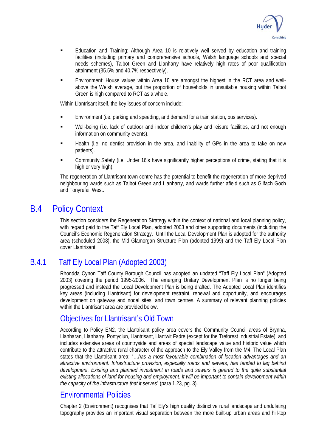

- Education and Training: Although Area 10 is relatively well served by education and training facilities (including primary and comprehensive schools, Welsh language schools and special needs schemes), Talbot Green and Llanharry have relatively high rates of poor qualification attainment (35.5% and 40.7% respectively).
- Environment: House values within Area 10 are amongst the highest in the RCT area and wellabove the Welsh average, but the proportion of households in unsuitable housing within Talbot Green is high compared to RCT as a whole.

Within Llantrisant itself, the key issues of concern include:

- Environment (i.e. parking and speeding, and demand for a train station, bus services).
- Well-being (i.e. lack of outdoor and indoor children's play and leisure facilities, and not enough information on community events).
- Health (i.e. no dentist provision in the area, and inability of GPs in the area to take on new patients).
- Community Safety (i.e. Under 16's have significantly higher perceptions of crime, stating that it is high or very high).

The regeneration of Llantrisant town centre has the potential to benefit the regeneration of more deprived neighbouring wards such as Talbot Green and Llanharry, and wards further afield such as Gilfach Goch and Tonyrefail West.

# B.4 Policy Context

This section considers the Regeneration Strategy within the context of national and local planning policy, with regard paid to the Taff Ely Local Plan, adopted 2003 and other supporting documents (including the Council's Economic Regeneration Strategy. Until the Local Development Plan is adopted for the authority area (scheduled 2008), the Mid Glamorgan Structure Plan (adopted 1999) and the Taff Ely Local Plan cover Llantrisant.

# B.4.1 Taff Ely Local Plan (Adopted 2003)

Rhondda Cynon Taff County Borough Council has adopted an updated "Taff Ely Local Plan" (Adopted 2003) covering the period 1995-2006. The emerging Unitary Development Plan is no longer being progressed and instead the Local Development Plan is being drafted. The Adopted Local Plan identifies key areas (including Llantrisant) for development restraint, renewal and opportunity, and encourages development on gateway and nodal sites, and town centres. A summary of relevant planning policies within the Llantrisant area are provided below.

#### Objectives for Llantrisant's Old Town

According to Policy EN2, the Llantrisant policy area covers the Community Council areas of Brynna, Llanharan, Llanharry, Pontyclun, Llantrisant, Llantwit Fadre (except for the Treforest Industrial Estate), and includes extensive areas of countryside and areas of special landscape value and historic value which contribute to the attractive rural character of the approach to the Ely Valley from the M4. The Local Plan states that the Llantrisant area: "…*has a most favourable combination of location advantages and an attractive environment. Infrastructure provision, especially roads and sewers, has tended to lag behind development. Existing and planned investment in roads and sewers is geared to the quite substantial existing allocations of land for housing and employment. It will be important to contain development within the capacity of the infrastructure that it serves*" (para 1.23, pg. 3).

#### Environmental Policies

Chapter 2 (Environment) recognises that Taf Ely's high quality distinctive rural landscape and undulating topography provides an important visual separation between the more built-up urban areas and hill-top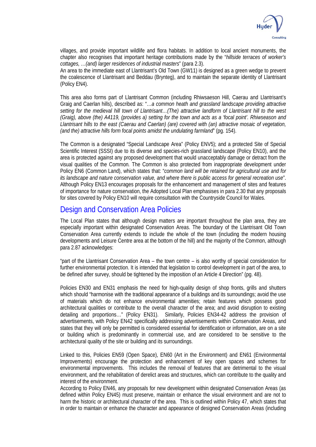

villages, and provide important wildlife and flora habitats. In addition to local ancient monuments, the chapter also recognises that important heritage contributions made by the "*hillside terraces of worker's cottages, …(and) larger residences of industrial masters*" (para 2.3).

An area to the immediate east of Llantrisant's Old Town (GW11) is designed as a green wedge to prevent the coalescence of Llantrisant and Beddau (Brynteg), and to maintain the separate identity of Llantrisant (Policy EN4).

This area also forms part of Llantrisant Common (including Rhiwsaeson Hill, Caerau and Llantrisant's Graig and Caerlan hills), described as: "…*a common heath and grassland landscape providing attractive setting for the medieval hill town of Llantrisant…(The) attractive landform of Llantrisant hill to the west (Graig), above (the) A4119, (provides a) setting for the town and acts as a 'focal point'. Rhiwseason and Llantrisant hills to the east (Caerau and Caerlan) (are) covered with (an) attractive mosaic of vegetation, (and the) attractive hills form focal points amidst the undulating farmland*" (pg. 154).

The Common is a designated "Special Landscape Area" (Policy ENV5); and a protected Site of Special Scientific Interest (SSSI) due to its diverse and species-rich grassland landscape (Policy EN10), and the area is protected against any proposed development that would unacceptably damage or detract from the visual qualities of the Common*.* The Common is also protected from inappropriate development under Policy EN6 (Common Land), which states that: "*common land will be retained for agricultural use and for its landscape and nature conservation value, and where there is public access for general recreation use*". Although Policy EN13 encourages proposals for the enhancement and management of sites and features of importance for nature conservation, the Adopted Local Plan emphasises in para 2.30 that any proposals for sites covered by Policy EN10 will require consultation with the Countryside Council for Wales.

### Design and Conservation Area Policies

The Local Plan states that although design matters are important throughout the plan area, they are especially important within designated Conservation Areas. The boundary of the Llantrisant Old Town Conservation Area currently extends to include the whole of the town (including the modern housing developments and Leisure Centre area at the bottom of the hill) and the majority of the Common, although para 2.87 acknowledges:

"part of the Llantrisant Conservation Area – the town centre – is also worthy of special consideration for further environmental protection. It is intended that legislation to control development in part of the area, to be defined after survey, should be tightened by the imposition of an Article 4 Direction" (pg. 48).

Policies EN30 and EN31 emphasis the need for high-quality design of shop fronts, grills and shutters which should "harmonise with the traditional appearance of a buildings and its surroundings; avoid the use of materials which do not enhance environmental amenities; retain features which possess good architectural qualities or contribute to the overall character of the area; and avoid disruption to existing detailing and proportions…" (Policy EN31). Similarly, Policies EN34-42 address the provision of advertisements, with Policy EN42 specifically addressing advertisements within Conservation Areas, and states that they will only be permitted is considered essential for identification or information, are on a site or building which is predominantly in commercial use, and are considered to be sensitive to the architectural quality of the site or building and its surroundings.

Linked to this, Policies EN59 (Open Space), EN60 (Art in the Environment) and EN61 (Environmental Improvements) encourage the protection and enhancement of key open spaces and schemes for environmental improvements. This includes the removal of features that are detrimental to the visual environment, and the rehabilitation of derelict areas and structures, which can contribute to the quality and interest of the environment.

According to Policy EN46, any proposals for new development within designated Conservation Areas (as defined within Policy EN45) must preserve, maintain or enhance the visual environment and are not to harm the historic or architectural character of the area. This is outlined within Policy 47, which states that in order to maintain or enhance the character and appearance of designed Conservation Areas (including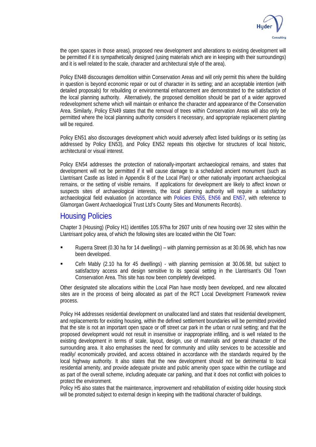

the open spaces in those areas), proposed new development and alterations to existing development will be permitted if it is sympathetically designed (using materials which are in keeping with their surroundings) and it is well related to the scale, character and architectural style of the area).

Policy EN48 discourages demolition within Conservation Areas and will only permit this where the building in question is beyond economic repair or out of character in its setting; and an acceptable intention (with detailed proposals) for rebuilding or environmental enhancement are demonstrated to the satisfaction of the local planning authority. Alternatively, the proposed demolition should be part of a wider approved redevelopment scheme which will maintain or enhance the character and appearance of the Conservation Area. Similarly, Policy EN49 states that the removal of trees within Conservation Areas will also only be permitted where the local planning authority considers it necessary, and appropriate replacement planting will be required.

Policy EN51 also discourages development which would adversely affect listed buildings or its setting (as addressed by Policy EN53), and Policy EN52 repeats this objective for structures of local historic, architectural or visual interest.

Policy EN54 addresses the protection of nationally-important archaeological remains, and states that development will not be permitted if it will cause damage to a scheduled ancient monument (such as Llantrisant Castle as listed in Appendix 8 of the Local Plan) or other nationally important archaeological remains, or the setting of visible remains. If applications for development are likely to affect known or suspects sites of archaeological interests, the local planning authority will require a satisfactory archaeological field evaluation (in accordance with Policies EN55, EN56 and EN57, with reference to Glamorgan Gwent Archaeological Trust Ltd's County Sites and Monuments Records).

#### Housing Policies

Chapter 3 (Housing) (Policy H1) identifies 105.97ha for 2607 units of new housing over 32 sites within the Llantrisant policy area, of which the following sites are located within the Old Town:

- Ruperra Street (0.30 ha for 14 dwellings) with planning permission as at 30.06.98, which has now been developed.
- Cefn Mably (2.10 ha for 45 dwellings) with planning permission at 30.06.98, but subject to satisfactory access and design sensitive to its special setting in the Llantrisant's Old Town Conservation Area. This site has now been completely developed.

Other designated site allocations within the Local Plan have mostly been developed, and new allocated sites are in the process of being allocated as part of the RCT Local Development Framework review process.

Policy H4 addresses residential development on unallocated land and states that residential development, and replacements for existing housing, within the defined settlement boundaries will be permitted provided that the site is not an important open space or off street car park in the urban or rural setting; and that the proposed development would not result in insensitive or inappropriate infilling, and is well related to the existing development in terms of scale, layout, design, use of materials and general character of the surrounding area. It also emphasises the need for community and utility services to be accessible and readily/ economically provided, and access obtained in accordance with the standards required by the local highway authority. It also states that the new development should not be detrimental to local residential amenity, and provide adequate private and public amenity open space within the curtilage and as part of the overall scheme, including adequate car parking, and that it does not conflict with policies to protect the environment.

Policy H5 also states that the maintenance, improvement and rehabilitation of existing older housing stock will be promoted subject to external design in keeping with the traditional character of buildings.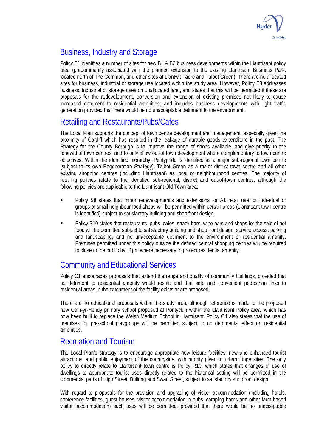

# Business, Industry and Storage

Policy E1 identifies a number of sites for new B1 & B2 business developments within the Llantrisant policy area (predominantly associated with the planned extension to the existing Llantrisant Business Park, located north of The Common, and other sites at Llantwit Fadre and Talbot Green). There are no allocated sites for business, industrial or storage use located within the study area. However, Policy E8 addresses business, industrial or storage uses on unallocated land, and states that this will be permitted if these are proposals for the redevelopment, conversion and extension of existing premises not likely to cause increased detriment to residential amenities; and includes business developments with light traffic generation provided that there would be no unacceptable detriment to the environment.

### Retailing and Restaurants/Pubs/Cafes

The Local Plan supports the concept of town centre development and management, especially given the proximity of Cardiff which has resulted in the leakage of durable goods expenditure in the past. The Strategy for the County Borough is to improve the range of shops available, and give priority to the renewal of town centres, and to only allow out-of town development where complementary to town centre objectives. Within the identified hierarchy, Pontypridd is identified as a major sub-regional town centre (subject to its own Regeneration Strategy), Talbot Green as a major district town centre and all other existing shopping centres (including Llantrisant) as local or neighbourhood centres. The majority of retailing policies relate to the identified sub-regional, district and out-of-town centres, although the following policies are applicable to the Llantrisant Old Town area:

- Policy S8 states that minor redevelopment's and extensions for A1 retail use for individual or groups of small neighbourhood shops will be permitted within certain areas (Llantrisant town centre is identified) subject to satisfactory building and shop front design.
- Policy S10 states that restaurants, pubs, cafes, snack bars, wine bars and shops for the sale of hot food will be permitted subject to satisfactory building and shop front design, service access, parking and landscaping, and no unacceptable detriment to the environment or residential amenity. Premises permitted under this policy outside the defined central shopping centres will be required to close to the public by 11pm where necessary to protect residential amenity.

# Community and Educational Services

Policy C1 encourages proposals that extend the range and quality of community buildings, provided that no detriment to residential amenity would result; and that safe and convenient pedestrian links to residential areas in the catchment of the facility exists or are proposed.

There are no educational proposals within the study area, although reference is made to the proposed new Cefn-yr-Hendy primary school proposed at Pontyclun within the Llantrisant Policy area, which has now been built to replace the Welsh Medium School in Llantrisant. Policy C4 also states that the use of premises for pre-school playgroups will be permitted subject to no detrimental effect on residential amenities.

#### Recreation and Tourism

The Local Plan's strategy is to encourage appropriate new leisure facilities, new and enhanced tourist attractions, and public enjoyment of the countryside, with priority given to urban fringe sites. The only policy to directly relate to Llantrisant town centre is Policy R10, which states that changes of use of dwellings to appropriate tourist uses directly related to the historical setting will be permitted in the commercial parts of High Street, Bullring and Swan Street, subject to satisfactory shopfront design.

With regard to proposals for the provision and upgrading of visitor accommodation (including hotels, conference facilities, guest houses, visitor accommodation in pubs, camping barns and other farm-based visitor accommodation) such uses will be permitted, provided that there would be no unacceptable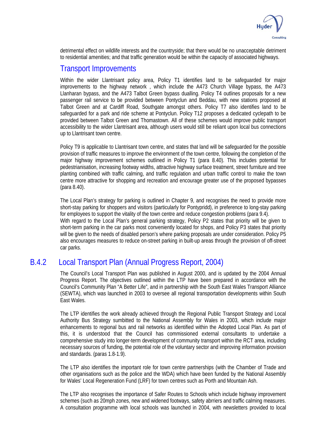

detrimental effect on wildlife interests and the countryside; that there would be no unacceptable detriment to residential amenities; and that traffic generation would be within the capacity of associated highways.

#### Transport Improvements

Within the wider Llantrisant policy area, Policy T1 identifies land to be safeguarded for major improvements to the highway network , which include the A473 Church Village bypass, the A473 Llanharan bypass, and the A473 Talbot Green bypass dualling. Policy T4 outlines proposals for a new passenger rail service to be provided between Pontyclun and Beddau, with new stations proposed at Talbot Green and at Cardiff Road, Southgate amongst others. Policy T7 also identifies land to be safeguarded for a park and ride scheme at Pontyclun. Policy T12 proposes a dedicated cyclepath to be provided between Talbot Green and Thomastown. All of these schemes would improve public transport accessibility to the wider Llantrisant area, although users would still be reliant upon local bus connections up to Llantrisant town centre.

Policy T9 is applicable to Llantrisant town centre, and states that land will be safeguarded for the possible provision of traffic measures to improve the environment of the town centre, following the completion of the major highway improvement schemes outlined in Policy T1 (para 8.40). This includes potential for pedestrianisation, increasing footway widths, attractive highway surface treatment, street furniture and tree planting combined with traffic calming, and traffic regulation and urban traffic control to make the town centre more attractive for shopping and recreation and encourage greater use of the proposed bypasses (para 8.40).

The Local Plan's strategy for parking is outlined in Chapter 9, and recognises the need to provide more short-stay parking for shoppers and visitors (particularly for Pontypridd), in preference to long-stay parking for employees to support the vitality of the town centre and reduce congestion problems (para 9.4). With regard to the Local Plan's general parking strategy, Policy P2 states that priority will be given to short-term parking in the car parks most conveniently located for shops, and Policy P3 states that priority will be given to the needs of disabled person's where parking proposals are under consideration. Policy P5 also encourages measures to reduce on-street parking in built-up areas through the provision of off-street car parks.

# B.4.2 Local Transport Plan (Annual Progress Report, 2004)

The Council's Local Transport Plan was published in August 2000, and is updated by the 2004 Annual Progress Report. The objectives outlined within the LTP have been prepared in accordance with the Council's Community Plan "A Better Life", and in partnership with the South East Wales Transport Alliance (SEWTA), which was launched in 2003 to oversee all regional transportation developments within South East Wales.

The LTP identifies the work already achieved through the Regional Public Transport Strategy and Local Authority Bus Strategy sumbitted to the National Assembly for Wales in 2003, which include major enhancements to regional bus and rail networks as identified within the Adopted Local Plan. As part of this, it is understood that the Council has commissioned external consultants to undertake a comprehensive study into longer-term development of community transport within the RCT area, including necessary sources of funding, the potential role of the voluntary sector and improving information provision and standards. (paras 1.8-1.9).

The LTP also identifies the important role for town centre partnerships (with the Chamber of Trade and other organisations such as the police and the WDA) which have been funded by the National Assembly for Wales' Local Regeneration Fund (LRF) for town centres such as Porth and Mountain Ash.

The LTP also recognises the importance of Safer Routes to Schools which include highway improvement schemes (such as 20mph zones, new and widened footways, safety abrriers and traffic calming measures. A consultation programme with local schools was launched in 2004, with newsletters provided to local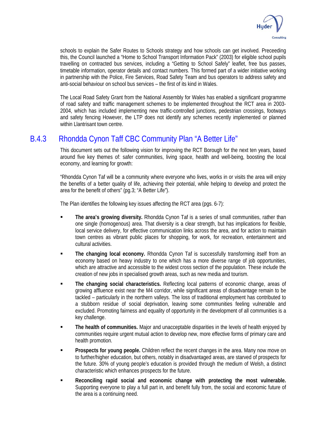

schools to explain the Safer Routes to Schools strategy and how schools can get involved. Preceeding this, the Council launched a "Home to School Transport Information Pack" (2003) for eligible school pupils travelling on contracted bus services, including a "Getting to School Safely" leaflet, free bus passes, timetable information, operator details and contact numbers. This formed part of a wider initiative working in partnership with the Police, Fire Services, Road Safety Team and bus operators to address safety and anti-social behaviour on school bus services – the first of its kind in Wales.

The Local Road Safety Grant from the National Assembly for Wales has enabled a significant programme of road safety and traffic management schemes to be implemented throughout the RCT area in 2003- 2004, which has included implementing new traffic-controlled junctions, pedestrian crossings, footways and safety fencing However, the LTP does not identify any schemes recently implemented or planned within Llantrisant town centre.

### B.4.3 Rhondda Cynon Taff CBC Community Plan "A Better Life"

This document sets out the following vision for improving the RCT Borough for the next ten years, based around five key themes of: safer communities, living space, health and well-being, boosting the local economy, and learning for growth:

"Rhondda Cynon Taf will be a community where everyone who lives, works in or visits the area will enjoy the benefits of a better quality of life, achieving their potential, while helping to develop and protect the area for the benefit of others" (pg.3; "A Better Life").

The Plan identifies the following key issues affecting the RCT area (pgs. 6-7):

- **The area's growing diversity.** Rhondda Cynon Taf is a series of small communities, rather than one single (homogenous) area. That diversity is a clear strength, but has implications for flexible, local service delivery, for effective communication links across the area, and for action to maintain town centres as vibrant public places for shopping, for work, for recreation, entertainment and cultural activities.
- **The changing local economy.** Rhondda Cynon Taf is successfully transforming itself from an economy based on heavy industry to one which has a more diverse range of job opportunities, which are attractive and accessible to the widest cross section of the population. These include the creation of new jobs in specialised growth areas, such as new media and tourism.
- **The changing social characteristics.** Reflecting local patterns of economic change, areas of growing affluence exist near the M4 corridor, while significant areas of disadvantage remain to be tackled – particularly in the northern valleys. The loss of traditional employment has contributed to a stubborn residue of social deprivation, leaving some communities feeling vulnerable and excluded. Promoting fairness and equality of opportunity in the development of all communities is a key challenge.
- **The health of communities.** Major and unacceptable disparities in the levels of health enjoyed by communities require urgent mutual action to develop new, more effective forms of primary care and health promotion.
- **Prospects for young people.** Children reflect the recent changes in the area. Many now move on to further/higher education, but others, notably in disadvantaged areas, are starved of prospects for the future. 30% of young people's education is provided through the medium of Welsh, a distinct characteristic which enhances prospects for the future.
- **Reconciling rapid social and economic change with protecting the most vulnerable.**  Supporting everyone to play a full part in, and benefit fully from, the social and economic future of the area is a continuing need.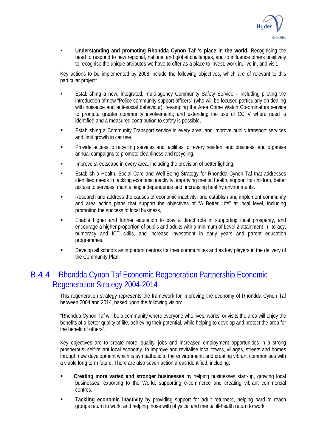

 **Understanding and promoting Rhondda Cynon Taf 's place in the world.** Recognising the need to respond to new regional, national and global challenges, and to influence others positively to recognise the unique attributes we have to offer as a place to invest, work in, live in, and visit.

Key actions to be implemented by 2008 include the following objectives, which are of relevant to this particular project:

- Establishing a new, integrated, multi-agency Community Safety Service including piloting the introduction of new "Police community support officers" (who will be focused particularly on dealing with nuisance and anti-social behaviour); revamping the Area Crime Watch Co-ordinators service to promote greater community involvement.; and extending the use of CCTV where need is identified and a measured contribution to safety is possible,
- **Establishing a Community Transport service in every area, and improve public transport services** and limit growth in car use.
- Provide access to recycling services and facilities for every resident and business, and organise annual campaigns to promote cleanliness and recycling.
- **IMPROVE STEET IN EVEL 2018** In every area, including the provision of better lighting.
- Establish a Health, Social Care and Well-Being Strategy for Rhondda Cynon Taf that addresses identified needs in tackling economic inactivity, improving mental health, support for children, better access to services, maintaining independence and, increasing healthy environments.
- Research and address the causes of economic inactivity, and establish and implement community and area action plans that support the objectives of "A Better Life" at local level, including promoting the success of local business,
- Enable higher and further education to play a direct role in supporting local prosperity, and encourage a higher proportion of pupils and adults with a minimum of Level 2 attainment in literacy, numeracy and ICT skills, and increase investment in early years and parent education programmes.
- Develop all schools as important centres for their communities and as key players in the delivery of the Community Plan.

# B.4.4 Rhondda Cynon Taf Economic Regeneration Partnership Economic Regeneration Strategy 2004-2014

This regeneration strategy represents the framework for improving the economy of Rhondda Cynon Taf between 2004 and 2014, based upon the following vision:

"Rhondda Cynon Taf will be a community where everyone who lives, works, or visits the area will enjoy the benefits of a better quality of life, achieving their potential, while helping to develop and protect the area for the benefit of others".

Key objectives are to create more 'quality' jobs and increased employment opportunities in a strong prosperous, self-reliant local economy, to improve and revitalise local towns, villages, streets and homes through new development which is sympathetic to the environment, and creating vibrant communities with a viable long term future. There are also seven action areas identified, including:

- **Creating more varied and stronger businesses** by helping businesses start-up, growing local businesses, exporting to the World, supporting e-commerce and creating vibrant commercial centres.
- **Tackling economic inactivity** by providing support for adult returners, helping hard to reach groups return to work, and helping those with physical and mental ill-health return to work.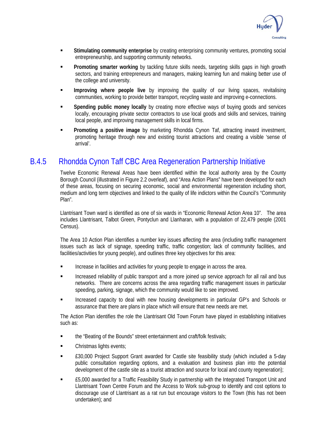

- **Stimulating community enterprise** by creating enterprising community ventures, promoting social entrepreneurship, and supporting community networks.
- **Promoting smarter working** by tackling future skills needs, targeting skills gaps in high growth sectors, and training entrepreneurs and managers, making learning fun and making better use of the college and university.
- **Improving where people live** by improving the quality of our living spaces, revitalising communities, working to provide better transport, recycling waste and improving e-connections.
- **Spending public money locally** by creating more effective ways of buying goods and services locally, encouraging private sector contractors to use local goods and skills and services, training local people, and improving management skills in local firms.
- **Promoting a positive image** by marketing Rhondda Cynon Taf, attracting inward investment, promoting heritage through new and existing tourist attractions and creating a visible 'sense of arrival'.

# B.4.5 Rhondda Cynon Taff CBC Area Regeneration Partnership Initiative

Twelve Economic Renewal Areas have been identified within the local authority area by the County Borough Council (illustrated in Figure 2.2 overleaf), and "Area Action Plans" have been developed for each of these areas, focusing on securing economic, social and environmental regeneration including short, medium and long term objectives and linked to the quality of life indictors within the Council's "Community Plan".

Llantrisant Town ward is identified as one of six wards in "Economic Renewal Action Area 10". The area includes Llantrisant, Talbot Green, Pontyclun and Llanharan, with a population of 22,479 people (2001 Census).

The Area 10 Action Plan identifies a number key issues affecting the area (including traffic management issues such as lack of signage, speeding traffic, traffic congestion; lack of community facilities, and facilities/activities for young people), and outlines three key objectives for this area:

- Increase in facilities and activities for young people to engage in across the area.
- **Increased reliability of public transport and a more joined up service approach for all rail and bus** networks. There are concerns across the area regarding traffic management issues in particular speeding, parking, signage, which the community would like to see improved.
- **Increased capacity to deal with new housing developments in particular GP's and Schools or** assurance that there are plans in place which will ensure that new needs are met.

The Action Plan identifies the role the Llantrisant Old Town Forum have played in establishing initiatives such as:

- **the "Beating of the Bounds" street entertainment and craft/folk festivals;**
- **Christmas lights events;**
- £30,000 Project Support Grant awarded for Castle site feasibility study (which included a 5-day public consultation regarding options, and a evaluation and business plan into the potential development of the castle site as a tourist attraction and source for local and county regeneration);
- £5,000 awarded for a Traffic Feasibility Study in partnership with the Integrated Transport Unit and Llantrisant Town Centre Forum and the Access to Work sub-group to identify and cost options to discourage use of Llantrisant as a rat run but encourage visitors to the Town (this has not been undertaken); and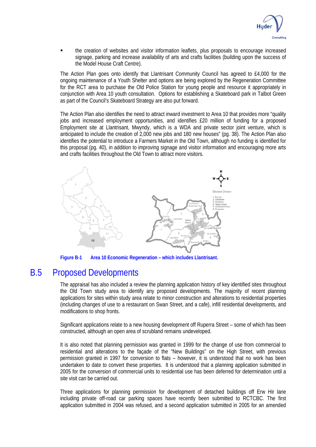

 the creation of websites and visitor information leaflets, plus proposals to encourage increased signage, parking and increase availability of arts and crafts facilities (building upon the success of the Model House Craft Centre).

The Action Plan goes onto identify that Llantrisant Community Council has agreed to £4,000 for the ongoing maintenance of a Youth Shelter and options are being explored by the Regeneration Committee for the RCT area to purchase the Old Police Station for young people and resource it appropriately in conjunction with Area 10 youth consultation. Options for establishing a Skateboard park in Talbot Green as part of the Council's Skateboard Strategy are also put forward.

The Action Plan also identifies the need to attract inward investment to Area 10 that provides more "quality jobs and increased employment opportunities, and identifies £20 million of funding for a proposed Employment site at Llantrisant, Mwyndy, which is a WDA and private sector joint venture, which is anticipated to include the creation of 2,000 new jobs and 180 new houses" (pg. 38). The Action Plan also identifies the potential to introduce a Farmers Market in the Old Town, although no funding is identified for this proposal (pg. 40), in addition to improving signage and visitor information and encouraging more arts and crafts facilities throughout the Old Town to attract more visitors.



**Figure B-1 Area 10 Economic Regeneration – which includes Llantrisant.**

# B.5 Proposed Developments

The appraisal has also included a review the planning application history of key identified sites throughout the Old Town study area to identify any proposed developments. The majority of recent planning applications for sites within study area relate to minor construction and alterations to residential properties (including changes of use to a restaurant on Swan Street, and a cafe), infill residential developments, and modifications to shop fronts.

Significant applications relate to a new housing development off Ruperra Street – some of which has been constructed, although an open area of scrubland remains undeveloped.

It is also noted that planning permission was granted in 1999 for the change of use from commercial to residential and alterations to the façade of the "New Buildings" on the High Street, with previous permission granted in 1997 for conversion to flats – however, it is understood that no work has been undertaken to date to convert these properties. It is understood that a planning application submitted in 2005 for the conversion of commercial units to residential use has been deferred for determination until a site visit can be carried out.

Three applications for planning permission for development of detached buildings off Erw Hir lane including private off-road car parking spaces have recently been submitted to RCTCBC. The first application submitted in 2004 was refused, and a second application submitted in 2005 for an amended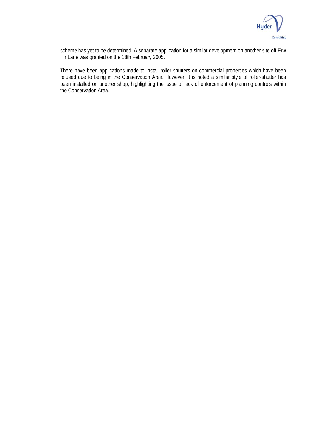

scheme has yet to be determined. A separate application for a similar development on another site off Erw Hir Lane was granted on the 18th February 2005.

There have been applications made to install roller shutters on commercial properties which have been refused due to being in the Conservation Area. However, it is noted a similar style of roller-shutter has been installed on another shop, highlighting the issue of lack of enforcement of planning controls within the Conservation Area.